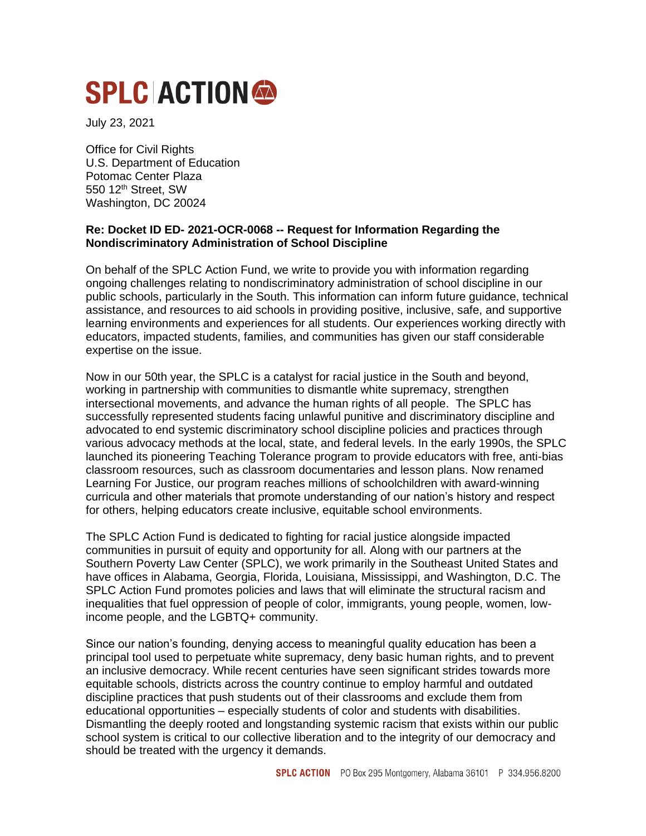# **SPLC ACTION®**

July 23, 2021

Office for Civil Rights U.S. Department of Education Potomac Center Plaza 550 12th Street, SW Washington, DC 20024

# **Re: Docket ID ED- 2021-OCR-0068 -- Request for Information Regarding the Nondiscriminatory Administration of School Discipline**

On behalf of the SPLC Action Fund, we write to provide you with information regarding ongoing challenges relating to nondiscriminatory administration of school discipline in our public schools, particularly in the South. This information can inform future guidance, technical assistance, and resources to aid schools in providing positive, inclusive, safe, and supportive learning environments and experiences for all students. Our experiences working directly with educators, impacted students, families, and communities has given our staff considerable expertise on the issue.

Now in our 50th year, the SPLC is a catalyst for racial justice in the South and beyond, working in partnership with communities to dismantle white supremacy, strengthen intersectional movements, and advance the human rights of all people. The SPLC has successfully represented students facing unlawful punitive and discriminatory discipline and advocated to end systemic discriminatory school discipline policies and practices through various advocacy methods at the local, state, and federal levels. In the early 1990s, the SPLC launched its pioneering Teaching Tolerance program to provide educators with free, anti-bias classroom resources, such as classroom documentaries and lesson plans. Now renamed Learning For Justice, our program reaches millions of schoolchildren with award-winning curricula and other materials that promote understanding of our nation's history and respect for others, helping educators create inclusive, equitable school environments.

The SPLC Action Fund is dedicated to fighting for racial justice alongside impacted communities in pursuit of equity and opportunity for all. Along with our partners at the Southern Poverty Law Center (SPLC), we work primarily in the Southeast United States and have offices in Alabama, Georgia, Florida, Louisiana, Mississippi, and Washington, D.C. The SPLC Action Fund promotes policies and laws that will eliminate the structural racism and inequalities that fuel oppression of people of color, immigrants, young people, women, lowincome people, and the LGBTQ+ community.

Since our nation's founding, denying access to meaningful quality education has been a principal tool used to perpetuate white supremacy, deny basic human rights, and to prevent an inclusive democracy. While recent centuries have seen significant strides towards more equitable schools, districts across the country continue to employ harmful and outdated discipline practices that push students out of their classrooms and exclude them from educational opportunities – especially students of color and students with disabilities. Dismantling the deeply rooted and longstanding systemic racism that exists within our public school system is critical to our collective liberation and to the integrity of our democracy and should be treated with the urgency it demands.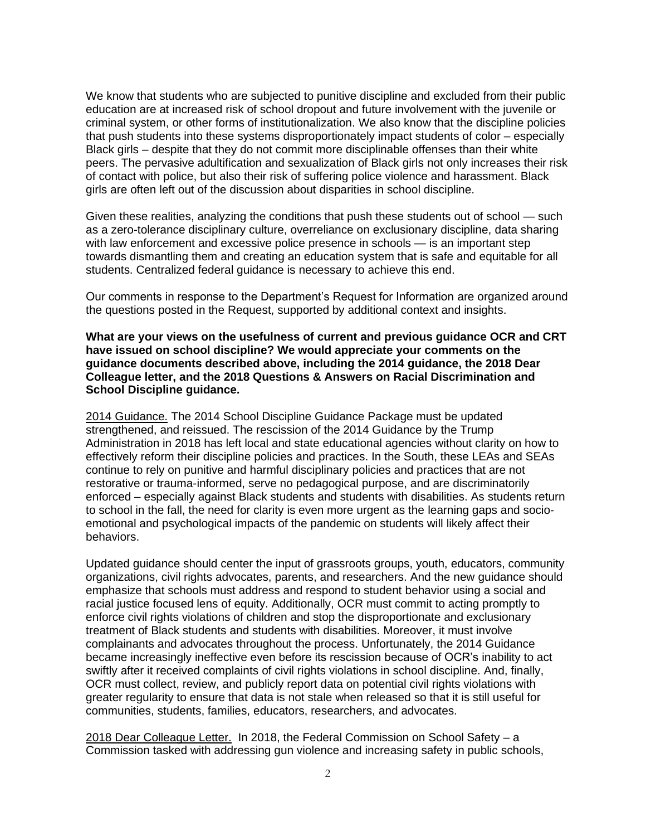We know that students who are subjected to punitive discipline and excluded from their public education are at increased risk of school dropout and future involvement with the juvenile or criminal system, or other forms of institutionalization. We also know that the discipline policies that push students into these systems disproportionately impact students of color – especially Black girls – despite that they do not commit more disciplinable offenses than their white peers. The pervasive adultification and sexualization of Black girls not only increases their risk of contact with police, but also their risk of suffering police violence and harassment. Black girls are often left out of the discussion about disparities in school discipline.

Given these realities, analyzing the conditions that push these students out of school — such as a zero-tolerance disciplinary culture, overreliance on exclusionary discipline, data sharing with law enforcement and excessive police presence in schools — is an important step towards dismantling them and creating an education system that is safe and equitable for all students. Centralized federal guidance is necessary to achieve this end.

Our comments in response to the Department's Request for Information are organized around the questions posted in the Request, supported by additional context and insights.

**What are your views on the usefulness of current and previous guidance OCR and CRT have issued on school discipline? We would appreciate your comments on the guidance documents described above, including the 2014 guidance, the 2018 Dear Colleague letter, and the 2018 Questions & Answers on Racial Discrimination and School Discipline guidance.**

2014 Guidance. The 2014 School Discipline Guidance Package must be updated strengthened, and reissued. The rescission of the 2014 Guidance by the Trump Administration in 2018 has left local and state educational agencies without clarity on how to effectively reform their discipline policies and practices. In the South, these LEAs and SEAs continue to rely on punitive and harmful disciplinary policies and practices that are not restorative or trauma-informed, serve no pedagogical purpose, and are discriminatorily enforced – especially against Black students and students with disabilities. As students return to school in the fall, the need for clarity is even more urgent as the learning gaps and socioemotional and psychological impacts of the pandemic on students will likely affect their behaviors.

Updated guidance should center the input of grassroots groups, youth, educators, community organizations, civil rights advocates, parents, and researchers. And the new guidance should emphasize that schools must address and respond to student behavior using a social and racial justice focused lens of equity. Additionally, OCR must commit to acting promptly to enforce civil rights violations of children and stop the disproportionate and exclusionary treatment of Black students and students with disabilities. Moreover, it must involve complainants and advocates throughout the process. Unfortunately, the 2014 Guidance became increasingly ineffective even before its rescission because of OCR's inability to act swiftly after it received complaints of civil rights violations in school discipline. And, finally, OCR must collect, review, and publicly report data on potential civil rights violations with greater regularity to ensure that data is not stale when released so that it is still useful for communities, students, families, educators, researchers, and advocates.

2018 Dear Colleague Letter. In 2018, the Federal Commission on School Safety - a Commission tasked with addressing gun violence and increasing safety in public schools,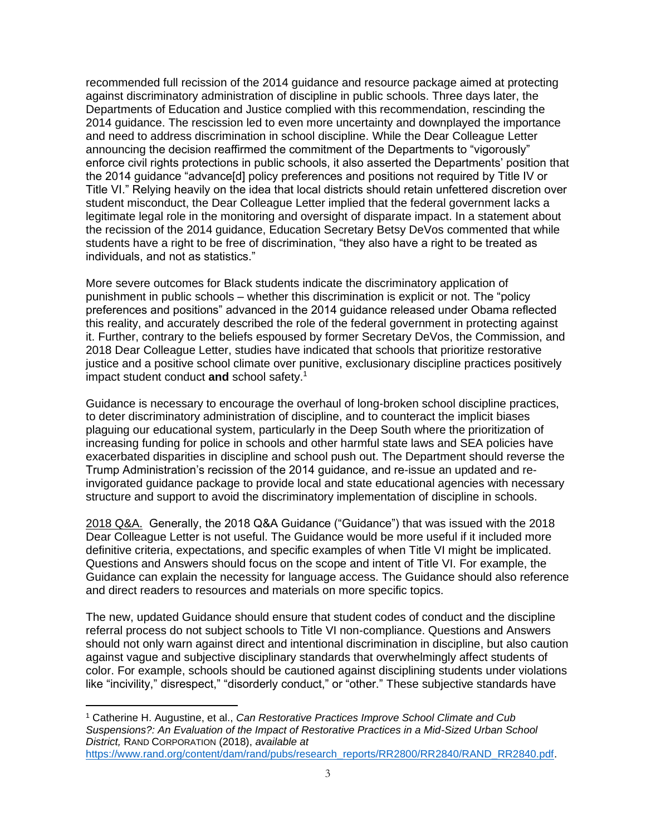recommended full recission of the 2014 guidance and resource package aimed at protecting against discriminatory administration of discipline in public schools. Three days later, the Departments of Education and Justice complied with this recommendation, rescinding the 2014 guidance. The rescission led to even more uncertainty and downplayed the importance and need to address discrimination in school discipline. While the Dear Colleague Letter announcing the decision reaffirmed the commitment of the Departments to "vigorously" enforce civil rights protections in public schools, it also asserted the Departments' position that the 2014 guidance "advance[d] policy preferences and positions not required by Title IV or Title VI." Relying heavily on the idea that local districts should retain unfettered discretion over student misconduct, the Dear Colleague Letter implied that the federal government lacks a legitimate legal role in the monitoring and oversight of disparate impact. In a statement about the recission of the 2014 guidance, Education Secretary Betsy DeVos commented that while students have a right to be free of discrimination, "they also have a right to be treated as individuals, and not as statistics."

More severe outcomes for Black students indicate the discriminatory application of punishment in public schools – whether this discrimination is explicit or not. The "policy preferences and positions" advanced in the 2014 guidance released under Obama reflected this reality, and accurately described the role of the federal government in protecting against it. Further, contrary to the beliefs espoused by former Secretary DeVos, the Commission, and 2018 Dear Colleague Letter, studies have indicated that schools that prioritize restorative justice and a positive school climate over punitive, exclusionary discipline practices positively impact student conduct **and** school safety.<sup>1</sup>

Guidance is necessary to encourage the overhaul of long-broken school discipline practices, to deter discriminatory administration of discipline, and to counteract the implicit biases plaguing our educational system, particularly in the Deep South where the prioritization of increasing funding for police in schools and other harmful state laws and SEA policies have exacerbated disparities in discipline and school push out. The Department should reverse the Trump Administration's recission of the 2014 guidance, and re-issue an updated and reinvigorated guidance package to provide local and state educational agencies with necessary structure and support to avoid the discriminatory implementation of discipline in schools.

2018 Q&A. Generally, the 2018 Q&A Guidance ("Guidance") that was issued with the 2018 Dear Colleague Letter is not useful. The Guidance would be more useful if it included more definitive criteria, expectations, and specific examples of when Title VI might be implicated. Questions and Answers should focus on the scope and intent of Title VI. For example, the Guidance can explain the necessity for language access. The Guidance should also reference and direct readers to resources and materials on more specific topics.

The new, updated Guidance should ensure that student codes of conduct and the discipline referral process do not subject schools to Title VI non-compliance. Questions and Answers should not only warn against direct and intentional discrimination in discipline, but also caution against vague and subjective disciplinary standards that overwhelmingly affect students of color. For example, schools should be cautioned against disciplining students under violations like "incivility," disrespect," "disorderly conduct," or "other." These subjective standards have

<sup>1</sup> Catherine H. Augustine, et al., *Can Restorative Practices Improve School Climate and Cub Suspensions?: An Evaluation of the Impact of Restorative Practices in a Mid-Sized Urban School District,* RAND CORPORATION (2018), *available at* [https://www.rand.org/content/dam/rand/pubs/research\\_reports/RR2800/RR2840/RAND\\_RR2840.pdf.](https://www.rand.org/content/dam/rand/pubs/research_reports/RR2800/RR2840/RAND_RR2840.pdf)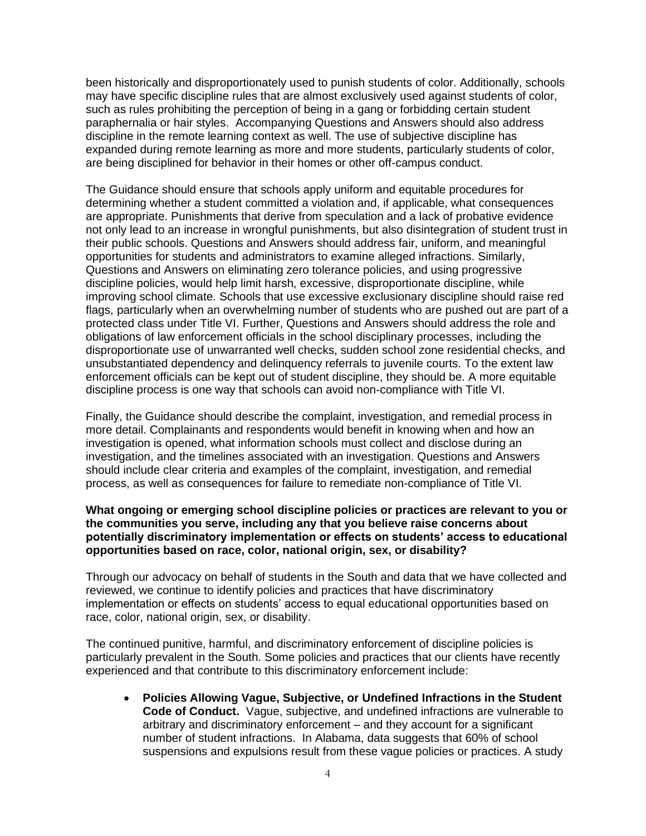been historically and disproportionately used to punish students of color. Additionally, schools may have specific discipline rules that are almost exclusively used against students of color, such as rules prohibiting the perception of being in a gang or forbidding certain student paraphernalia or hair styles. Accompanying Questions and Answers should also address discipline in the remote learning context as well. The use of subjective discipline has expanded during remote learning as more and more students, particularly students of color, are being disciplined for behavior in their homes or other off-campus conduct.

The Guidance should ensure that schools apply uniform and equitable procedures for determining whether a student committed a violation and, if applicable, what consequences are appropriate. Punishments that derive from speculation and a lack of probative evidence not only lead to an increase in wrongful punishments, but also disintegration of student trust in their public schools. Questions and Answers should address fair, uniform, and meaningful opportunities for students and administrators to examine alleged infractions. Similarly, Questions and Answers on eliminating zero tolerance policies, and using progressive discipline policies, would help limit harsh, excessive, disproportionate discipline, while improving school climate. Schools that use excessive exclusionary discipline should raise red flags, particularly when an overwhelming number of students who are pushed out are part of a protected class under Title VI. Further, Questions and Answers should address the role and obligations of law enforcement officials in the school disciplinary processes, including the disproportionate use of unwarranted well checks, sudden school zone residential checks, and unsubstantiated dependency and delinquency referrals to juvenile courts. To the extent law enforcement officials can be kept out of student discipline, they should be. A more equitable discipline process is one way that schools can avoid non-compliance with Title VI.

Finally, the Guidance should describe the complaint, investigation, and remedial process in more detail. Complainants and respondents would benefit in knowing when and how an investigation is opened, what information schools must collect and disclose during an investigation, and the timelines associated with an investigation. Questions and Answers should include clear criteria and examples of the complaint, investigation, and remedial process, as well as consequences for failure to remediate non-compliance of Title VI.

#### **What ongoing or emerging school discipline policies or practices are relevant to you or the communities you serve, including any that you believe raise concerns about potentially discriminatory implementation or effects on students' access to educational opportunities based on race, color, national origin, sex, or disability?**

Through our advocacy on behalf of students in the South and data that we have collected and reviewed, we continue to identify policies and practices that have discriminatory implementation or effects on students' access to equal educational opportunities based on race, color, national origin, sex, or disability.

The continued punitive, harmful, and discriminatory enforcement of discipline policies is particularly prevalent in the South. Some policies and practices that our clients have recently experienced and that contribute to this discriminatory enforcement include:

• **Policies Allowing Vague, Subjective, or Undefined Infractions in the Student Code of Conduct.** Vague, subjective, and undefined infractions are vulnerable to arbitrary and discriminatory enforcement – and they account for a significant number of student infractions. In Alabama, data suggests that 60% of school suspensions and expulsions result from these vague policies or practices. A study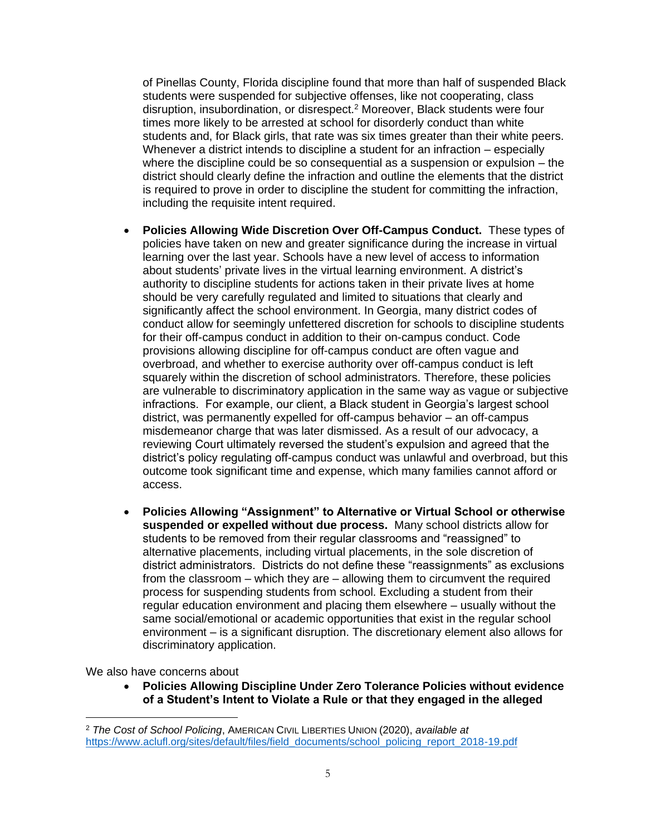of Pinellas County, Florida discipline found that more than half of suspended Black students were suspended for subjective offenses, like not cooperating, class disruption, insubordination, or disrespect.<sup>2</sup> Moreover, Black students were four times more likely to be arrested at school for disorderly conduct than white students and, for Black girls, that rate was six times greater than their white peers. Whenever a district intends to discipline a student for an infraction – especially where the discipline could be so consequential as a suspension or expulsion – the district should clearly define the infraction and outline the elements that the district is required to prove in order to discipline the student for committing the infraction, including the requisite intent required.

- **Policies Allowing Wide Discretion Over Off-Campus Conduct.** These types of policies have taken on new and greater significance during the increase in virtual learning over the last year. Schools have a new level of access to information about students' private lives in the virtual learning environment. A district's authority to discipline students for actions taken in their private lives at home should be very carefully regulated and limited to situations that clearly and significantly affect the school environment. In Georgia, many district codes of conduct allow for seemingly unfettered discretion for schools to discipline students for their off-campus conduct in addition to their on-campus conduct. Code provisions allowing discipline for off-campus conduct are often vague and overbroad, and whether to exercise authority over off-campus conduct is left squarely within the discretion of school administrators. Therefore, these policies are vulnerable to discriminatory application in the same way as vague or subjective infractions. For example, our client, a Black student in Georgia's largest school district, was permanently expelled for off-campus behavior – an off-campus misdemeanor charge that was later dismissed. As a result of our advocacy, a reviewing Court ultimately reversed the student's expulsion and agreed that the district's policy regulating off-campus conduct was unlawful and overbroad, but this outcome took significant time and expense, which many families cannot afford or access.
- **Policies Allowing "Assignment" to Alternative or Virtual School or otherwise suspended or expelled without due process.** Many school districts allow for students to be removed from their regular classrooms and "reassigned" to alternative placements, including virtual placements, in the sole discretion of district administrators. Districts do not define these "reassignments" as exclusions from the classroom – which they are – allowing them to circumvent the required process for suspending students from school. Excluding a student from their regular education environment and placing them elsewhere – usually without the same social/emotional or academic opportunities that exist in the regular school environment – is a significant disruption. The discretionary element also allows for discriminatory application.

We also have concerns about

• **Policies Allowing Discipline Under Zero Tolerance Policies without evidence of a Student's Intent to Violate a Rule or that they engaged in the alleged**

<sup>2</sup> *The Cost of School Policing*, AMERICAN CIVIL LIBERTIES UNION (2020), *available at*  [https://www.aclufl.org/sites/default/files/field\\_documents/school\\_policing\\_report\\_2018-19.pdf](https://www.aclufl.org/sites/default/files/field_documents/school_policing_report_2018-19.pdf)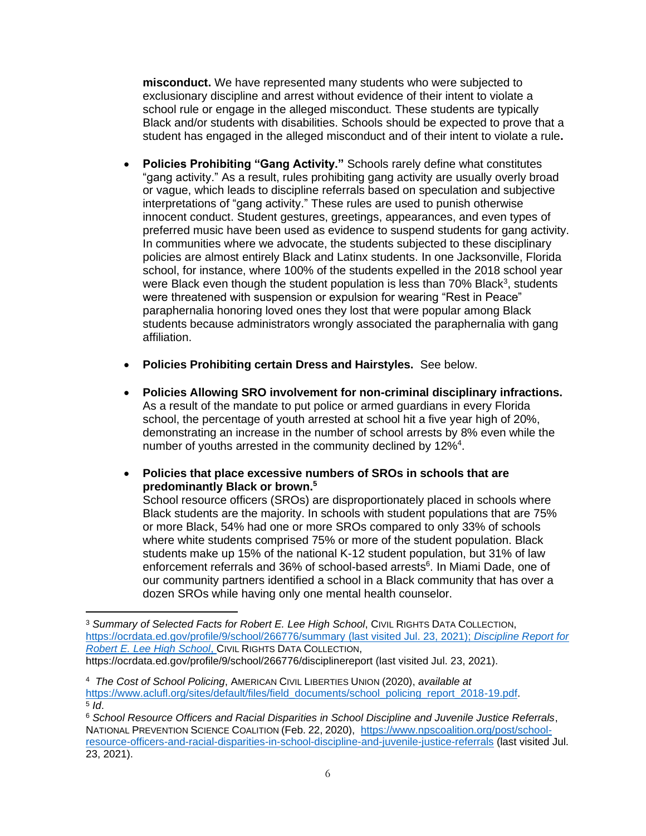**misconduct.** We have represented many students who were subjected to exclusionary discipline and arrest without evidence of their intent to violate a school rule or engage in the alleged misconduct. These students are typically Black and/or students with disabilities. Schools should be expected to prove that a student has engaged in the alleged misconduct and of their intent to violate a rule**.**

- **Policies Prohibiting "Gang Activity."** Schools rarely define what constitutes "gang activity." As a result, rules prohibiting gang activity are usually overly broad or vague, which leads to discipline referrals based on speculation and subjective interpretations of "gang activity." These rules are used to punish otherwise innocent conduct. Student gestures, greetings, appearances, and even types of preferred music have been used as evidence to suspend students for gang activity. In communities where we advocate, the students subjected to these disciplinary policies are almost entirely Black and Latinx students. In one Jacksonville, Florida school, for instance, where 100% of the students expelled in the 2018 school year were Black even though the student population is less than 70% Black<sup>3</sup>, students were threatened with suspension or expulsion for wearing "Rest in Peace" paraphernalia honoring loved ones they lost that were popular among Black students because administrators wrongly associated the paraphernalia with gang affiliation.
- **Policies Prohibiting certain Dress and Hairstyles.** See below.
- **Policies Allowing SRO involvement for non-criminal disciplinary infractions.**  As a result of the mandate to put police or armed guardians in every Florida school, the percentage of youth arrested at school hit a five year high of 20%, demonstrating an increase in the number of school arrests by 8% even while the number of youths arrested in the community declined by 12%<sup>4</sup>.
- **Policies that place excessive numbers of SROs in schools that are predominantly Black or brown. 5**

School resource officers (SROs) are disproportionately placed in schools where Black students are the majority. In schools with student populations that are 75% or more Black, 54% had one or more SROs compared to only 33% of schools where white students comprised 75% or more of the student population. Black students make up 15% of the national K-12 student population, but 31% of law enforcement referrals and 36% of school-based arrests<sup>6</sup>. In Miami Dade, one of our community partners identified a school in a Black community that has over a dozen SROs while having only one mental health counselor.

<sup>3</sup> *Summary of Selected Facts for Robert E. Lee High School*, CIVIL RIGHTS DATA COLLECTION, <https://ocrdata.ed.gov/profile/9/school/266776/summary> (last visited Jul. 23, 2021); *Discipline Report for Robert E. Lee High School*, CIVIL RIGHTS DATA COLLECTION, https://ocrdata.ed.gov/profile/9/school/266776/disciplinereport (last visited Jul. 23, 2021).

<sup>4</sup> *The Cost of School Policing*, AMERICAN CIVIL LIBERTIES UNION (2020), *available at*  [https://www.aclufl.org/sites/default/files/field\\_documents/school\\_policing\\_report\\_2018-19.pdf.](https://www.aclufl.org/sites/default/files/field_documents/school_policing_report_2018-19.pdf) 5 *Id*.

<sup>6</sup> *School Resource Officers and Racial Disparities in School Discipline and Juvenile Justice Referrals*, NATIONAL PREVENTION SCIENCE COALITION (Feb. 22, 2020), [https://www.npscoalition.org/post/school](https://www.npscoalition.org/post/school-resource-officers-and-racial-disparities-in-school-discipline-and-juvenile-justice-referrals)[resource-officers-and-racial-disparities-in-school-discipline-and-juvenile-justice-referrals](https://www.npscoalition.org/post/school-resource-officers-and-racial-disparities-in-school-discipline-and-juvenile-justice-referrals) (last visited Jul. 23, 2021).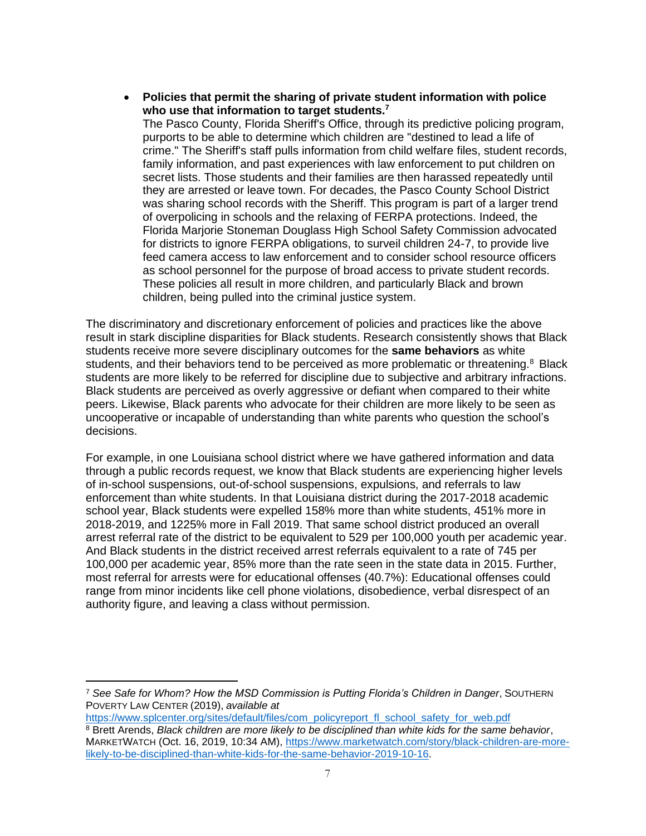• **Policies that permit the sharing of private student information with police who use that information to target students.<sup>7</sup>** The Pasco County, Florida Sheriff's Office, through its predictive policing program, purports to be able to determine which children are "destined to lead a life of crime." The Sheriff's staff pulls information from child welfare files, student records, family information, and past experiences with law enforcement to put children on secret lists. Those students and their families are then harassed repeatedly until they are arrested or leave town. For decades, the Pasco County School District was sharing school records with the Sheriff. This program is part of a larger trend of overpolicing in schools and the relaxing of FERPA protections. Indeed, the Florida Marjorie Stoneman Douglass High School Safety Commission advocated for districts to ignore FERPA obligations, to surveil children 24-7, to provide live feed camera access to law enforcement and to consider school resource officers as school personnel for the purpose of broad access to private student records. These policies all result in more children, and particularly Black and brown children, being pulled into the criminal justice system.

The discriminatory and discretionary enforcement of policies and practices like the above result in stark discipline disparities for Black students. Research consistently shows that Black students receive more severe disciplinary outcomes for the **same behaviors** as white students, and their behaviors tend to be perceived as more problematic or threatening.<sup>8</sup> Black students are more likely to be referred for discipline due to subjective and arbitrary infractions. Black students are perceived as overly aggressive or defiant when compared to their white peers. Likewise, Black parents who advocate for their children are more likely to be seen as uncooperative or incapable of understanding than white parents who question the school's decisions.

For example, in one Louisiana school district where we have gathered information and data through a public records request, we know that Black students are experiencing higher levels of in-school suspensions, out-of-school suspensions, expulsions, and referrals to law enforcement than white students. In that Louisiana district during the 2017-2018 academic school year, Black students were expelled 158% more than white students, 451% more in 2018-2019, and 1225% more in Fall 2019. That same school district produced an overall arrest referral rate of the district to be equivalent to 529 per 100,000 youth per academic year. And Black students in the district received arrest referrals equivalent to a rate of 745 per 100,000 per academic year, 85% more than the rate seen in the state data in 2015. Further, most referral for arrests were for educational offenses (40.7%): Educational offenses could range from minor incidents like cell phone violations, disobedience, verbal disrespect of an authority figure, and leaving a class without permission.

<sup>7</sup> *See Safe for Whom? How the MSD Commission is Putting Florida's Children in Danger*, SOUTHERN POVERTY LAW CENTER (2019), *available at* 

[https://www.splcenter.org/sites/default/files/com\\_policyreport\\_fl\\_school\\_safety\\_for\\_web.pdf](https://www.splcenter.org/sites/default/files/com_policyreport_fl_school_safety_for_web.pdf) <sup>8</sup> Brett Arends, *Black children are more likely to be disciplined than white kids for the same behavior*, MARKETWATCH (Oct. 16, 2019, 10:34 AM), [https://www.marketwatch.com/story/black-children-are-more](https://www.marketwatch.com/story/black-children-are-more-likely-to-be-disciplined-than-white-kids-for-the-same-behavior-2019-10-16)[likely-to-be-disciplined-than-white-kids-for-the-same-behavior-2019-10-16.](https://www.marketwatch.com/story/black-children-are-more-likely-to-be-disciplined-than-white-kids-for-the-same-behavior-2019-10-16)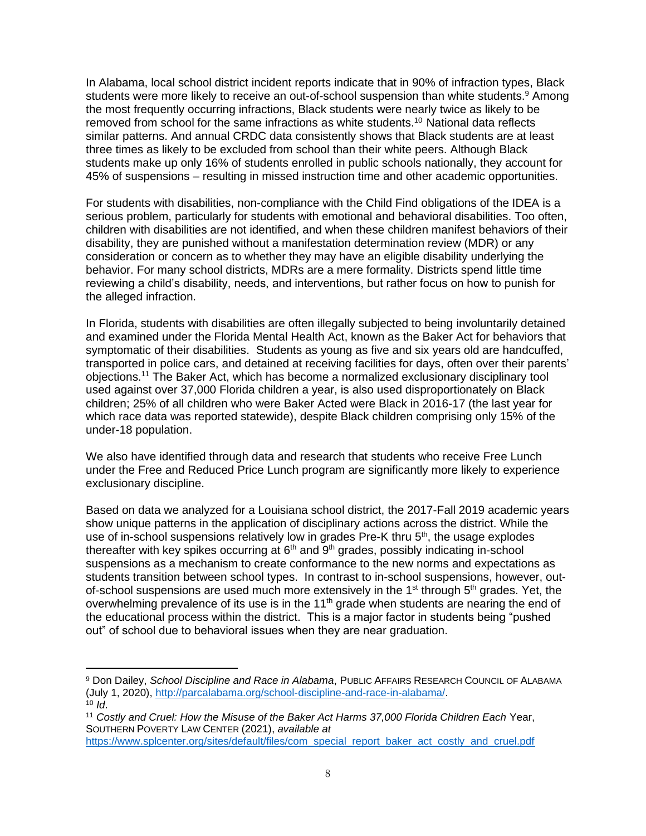In Alabama, local school district incident reports indicate that in 90% of infraction types, Black students were more likely to receive an out-of-school suspension than white students.<sup>9</sup> Among the most frequently occurring infractions, Black students were nearly twice as likely to be removed from school for the same infractions as white students.<sup>10</sup> National data reflects similar patterns. And annual CRDC data consistently shows that Black students are at least three times as likely to be excluded from school than their white peers. Although Black students make up only 16% of students enrolled in public schools nationally, they account for 45% of suspensions – resulting in missed instruction time and other academic opportunities.

For students with disabilities, non-compliance with the Child Find obligations of the IDEA is a serious problem, particularly for students with emotional and behavioral disabilities. Too often, children with disabilities are not identified, and when these children manifest behaviors of their disability, they are punished without a manifestation determination review (MDR) or any consideration or concern as to whether they may have an eligible disability underlying the behavior. For many school districts, MDRs are a mere formality. Districts spend little time reviewing a child's disability, needs, and interventions, but rather focus on how to punish for the alleged infraction.

In Florida, students with disabilities are often illegally subjected to being involuntarily detained and examined under the Florida Mental Health Act, known as the Baker Act for behaviors that symptomatic of their disabilities. Students as young as five and six years old are handcuffed, transported in police cars, and detained at receiving facilities for days, often over their parents' objections. <sup>11</sup> The Baker Act, which has become a normalized exclusionary disciplinary tool used against over 37,000 Florida children a year, is also used disproportionately on Black children; 25% of all children who were Baker Acted were Black in 2016-17 (the last year for which race data was reported statewide), despite Black children comprising only 15% of the under-18 population.

We also have identified through data and research that students who receive Free Lunch under the Free and Reduced Price Lunch program are significantly more likely to experience exclusionary discipline.

Based on data we analyzed for a Louisiana school district, the 2017-Fall 2019 academic years show unique patterns in the application of disciplinary actions across the district. While the use of in-school suspensions relatively low in grades Pre-K thru  $5<sup>th</sup>$ , the usage explodes thereafter with key spikes occurring at  $6<sup>th</sup>$  and  $9<sup>th</sup>$  grades, possibly indicating in-school suspensions as a mechanism to create conformance to the new norms and expectations as students transition between school types. In contrast to in-school suspensions, however, outof-school suspensions are used much more extensively in the 1<sup>st</sup> through 5<sup>th</sup> grades. Yet, the overwhelming prevalence of its use is in the  $11<sup>th</sup>$  grade when students are nearing the end of the educational process within the district. This is a major factor in students being "pushed out" of school due to behavioral issues when they are near graduation.

<sup>9</sup> Don Dailey, *School Discipline and Race in Alabama*, PUBLIC AFFAIRS RESEARCH COUNCIL OF ALABAMA (July 1, 2020), [http://parcalabama.org/school-discipline-and-race-in-alabama/.](http://parcalabama.org/school-discipline-and-race-in-alabama/)

<sup>10</sup> *Id*.

<sup>11</sup> *Costly and Cruel: How the Misuse of the Baker Act Harms 37,000 Florida Children Each* Year, SOUTHERN POVERTY LAW CENTER (2021), *available at*

[https://www.splcenter.org/sites/default/files/com\\_special\\_report\\_baker\\_act\\_costly\\_and\\_cruel.pdf](https://www.splcenter.org/sites/default/files/com_special_report_baker_act_costly_and_cruel.pdf)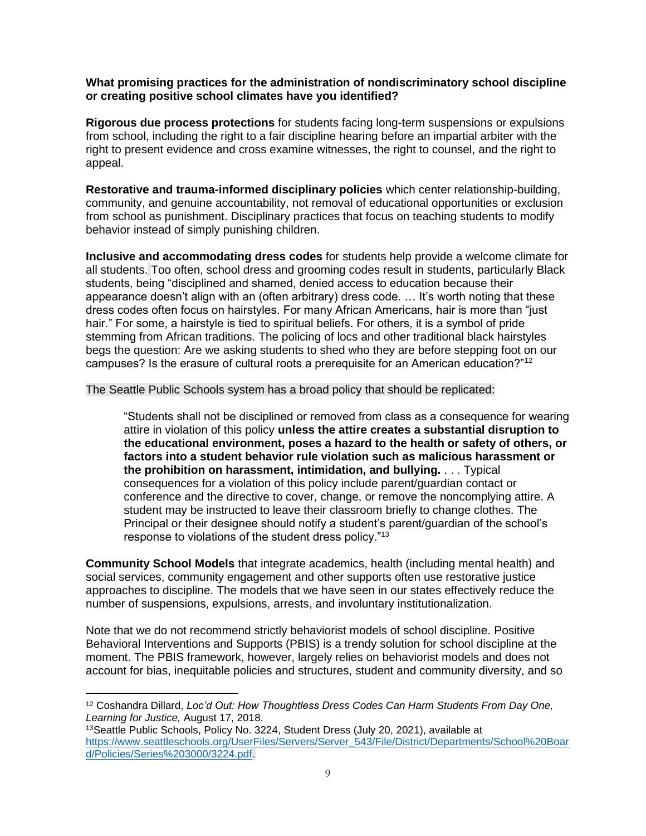#### **What promising practices for the administration of nondiscriminatory school discipline or creating positive school climates have you identified?**

**Rigorous due process protections** for students facing long-term suspensions or expulsions from school, including the right to a fair discipline hearing before an impartial arbiter with the right to present evidence and cross examine witnesses, the right to counsel, and the right to appeal.

**Restorative and trauma-informed disciplinary policies** which center relationship-building, community, and genuine accountability, not removal of educational opportunities or exclusion from school as punishment. Disciplinary practices that focus on teaching students to modify behavior instead of simply punishing children.

**Inclusive and accommodating dress codes** for students help provide a welcome climate for all students. Too often, school dress and grooming codes result in students, particularly Black students, being "disciplined and shamed, denied access to education because their appearance doesn't align with an (often arbitrary) dress code. … It's worth noting that these dress codes often focus on hairstyles. For many African Americans, hair is more than "just hair." For some, a hairstyle is tied to spiritual beliefs. For others, it is a symbol of pride stemming from African traditions. The policing of locs and other traditional black hairstyles begs the question: Are we asking students to shed who they are before stepping foot on our campuses? Is the erasure of cultural roots a prerequisite for an American education?"<sup>12</sup>

The Seattle Public Schools system has a broad policy that should be replicated:

"Students shall not be disciplined or removed from class as a consequence for wearing attire in violation of this policy **unless the attire creates a substantial disruption to the educational environment, poses a hazard to the health or safety of others, or factors into a student behavior rule violation such as malicious harassment or the prohibition on harassment, intimidation, and bullying.** . . . Typical consequences for a violation of this policy include parent/guardian contact or conference and the directive to cover, change, or remove the noncomplying attire. A student may be instructed to leave their classroom briefly to change clothes. The Principal or their designee should notify a student's parent/guardian of the school's response to violations of the student dress policy."<sup>13</sup>

**Community School Models** that integrate academics, health (including mental health) and social services, community engagement and other supports often use restorative justice approaches to discipline. The models that we have seen in our states effectively reduce the number of suspensions, expulsions, arrests, and involuntary institutionalization.

Note that we do not recommend strictly behaviorist models of school discipline. Positive Behavioral Interventions and Supports (PBIS) is a trendy solution for school discipline at the moment. The PBIS framework, however, largely relies on behaviorist models and does not account for bias, inequitable policies and structures, student and community diversity, and so

<sup>12</sup> Coshandra Dillard, *Loc'd Out: How Thoughtless Dress Codes Can Harm Students From Day One, Learning for Justice,* August 17, 2018.

<sup>&</sup>lt;sup>13</sup>Seattle Public Schools, Policy No. 3224, Student Dress (July 20, 2021), available at [https://www.seattleschools.org/UserFiles/Servers/Server\\_543/File/District/Departments/School%20Boar](https://www.seattleschools.org/UserFiles/Servers/Server_543/File/District/Departments/School%20Board/Policies/Series%203000/3224.pdf) [d/Policies/Series%203000/3224.pdf.](https://www.seattleschools.org/UserFiles/Servers/Server_543/File/District/Departments/School%20Board/Policies/Series%203000/3224.pdf)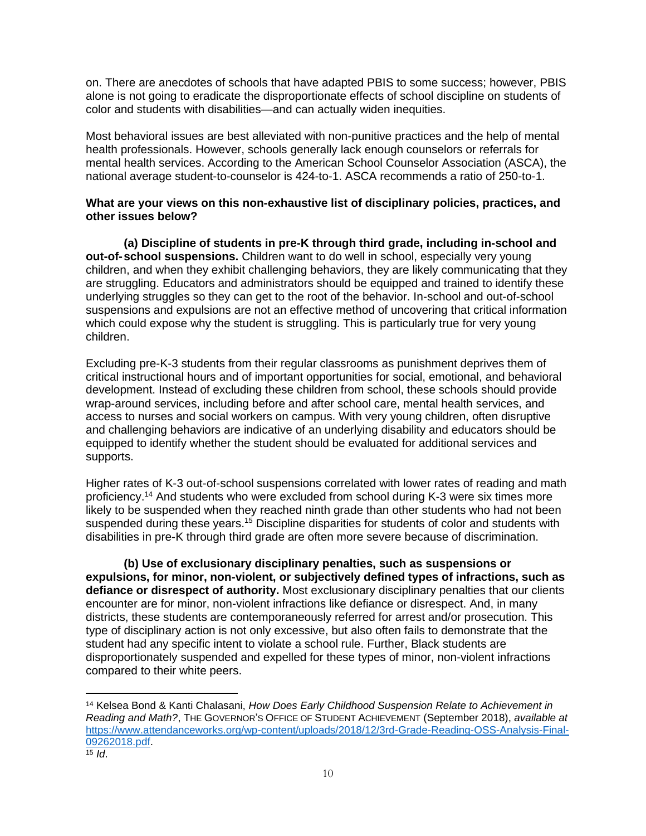on. There are anecdotes of schools that have adapted PBIS to some success; however, PBIS alone is not going to eradicate the disproportionate effects of school discipline on students of color and students with disabilities—and can actually widen inequities.

Most behavioral issues are best alleviated with non-punitive practices and the help of mental health professionals. However, schools generally lack enough counselors or referrals for mental health services. According to the American School Counselor Association (ASCA), the national average student-to-counselor is 424-to-1. ASCA recommends a ratio of 250-to-1.

#### **What are your views on this non-exhaustive list of disciplinary policies, practices, and other issues below?**

**(a) Discipline of students in pre-K through third grade, including in-school and out-of-school suspensions.** Children want to do well in school, especially very young children, and when they exhibit challenging behaviors, they are likely communicating that they are struggling. Educators and administrators should be equipped and trained to identify these underlying struggles so they can get to the root of the behavior. In-school and out-of-school suspensions and expulsions are not an effective method of uncovering that critical information which could expose why the student is struggling. This is particularly true for very young children.

Excluding pre-K-3 students from their regular classrooms as punishment deprives them of critical instructional hours and of important opportunities for social, emotional, and behavioral development. Instead of excluding these children from school, these schools should provide wrap-around services, including before and after school care, mental health services, and access to nurses and social workers on campus. With very young children, often disruptive and challenging behaviors are indicative of an underlying disability and educators should be equipped to identify whether the student should be evaluated for additional services and supports.

Higher rates of K-3 out-of-school suspensions correlated with lower rates of reading and math proficiency.<sup>14</sup> And students who were excluded from school during K-3 were six times more likely to be suspended when they reached ninth grade than other students who had not been suspended during these years.<sup>15</sup> Discipline disparities for students of color and students with disabilities in pre-K through third grade are often more severe because of discrimination.

**(b) Use of exclusionary disciplinary penalties, such as suspensions or expulsions, for minor, non-violent, or subjectively defined types of infractions, such as defiance or disrespect of authority.** Most exclusionary disciplinary penalties that our clients encounter are for minor, non-violent infractions like defiance or disrespect. And, in many districts, these students are contemporaneously referred for arrest and/or prosecution. This type of disciplinary action is not only excessive, but also often fails to demonstrate that the student had any specific intent to violate a school rule. Further, Black students are disproportionately suspended and expelled for these types of minor, non-violent infractions compared to their white peers.

<sup>14</sup> Kelsea Bond & Kanti Chalasani, *How Does Early Childhood Suspension Relate to Achievement in Reading and Math?*, THE GOVERNOR'S OFFICE OF STUDENT ACHIEVEMENT (September 2018), *available at* [https://www.attendanceworks.org/wp-content/uploads/2018/12/3rd-Grade-Reading-OSS-Analysis-Final-](https://www.attendanceworks.org/wp-content/uploads/2018/12/3rd-Grade-Reading-OSS-Analysis-Final-09262018.pdf)[09262018.pdf.](https://www.attendanceworks.org/wp-content/uploads/2018/12/3rd-Grade-Reading-OSS-Analysis-Final-09262018.pdf)

 $\overline{15}$  *Id.*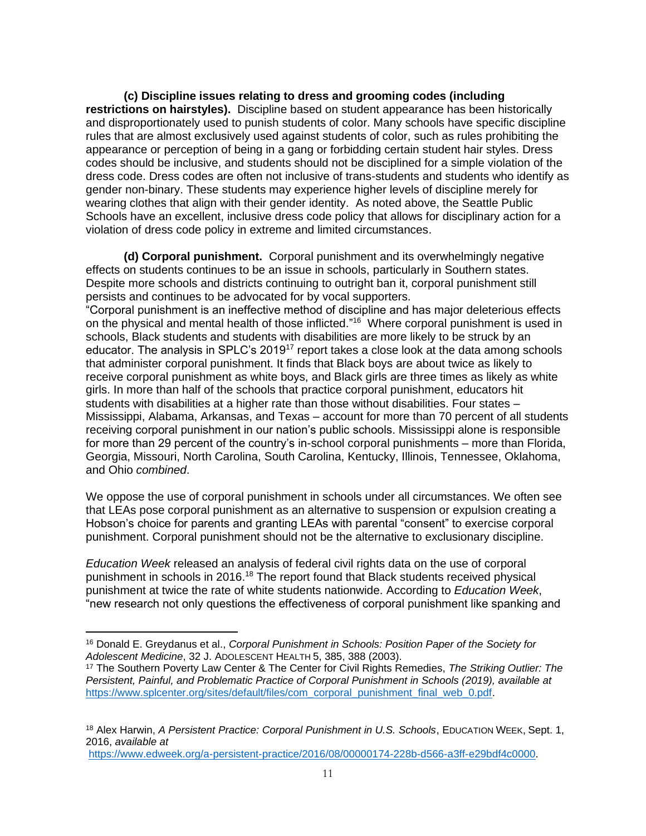**(c) Discipline issues relating to dress and grooming codes (including restrictions on hairstyles).** Discipline based on student appearance has been historically and disproportionately used to punish students of color. Many schools have specific discipline rules that are almost exclusively used against students of color, such as rules prohibiting the appearance or perception of being in a gang or forbidding certain student hair styles. Dress codes should be inclusive, and students should not be disciplined for a simple violation of the dress code. Dress codes are often not inclusive of trans-students and students who identify as gender non-binary. These students may experience higher levels of discipline merely for wearing clothes that align with their gender identity. As noted above, the Seattle Public Schools have an excellent, inclusive dress code policy that allows for disciplinary action for a violation of dress code policy in extreme and limited circumstances.

**(d) Corporal punishment.** Corporal punishment and its overwhelmingly negative effects on students continues to be an issue in schools, particularly in Southern states. Despite more schools and districts continuing to outright ban it, corporal punishment still persists and continues to be advocated for by vocal supporters. "Corporal punishment is an ineffective method of discipline and has major deleterious effects on the physical and mental health of those inflicted."<sup>16</sup> Where corporal punishment is used in schools, Black students and students with disabilities are more likely to be struck by an educator. The analysis in SPLC's 2019<sup>17</sup> report takes a close look at the data among schools that administer corporal punishment. It finds that Black boys are about twice as likely to receive corporal punishment as white boys, and Black girls are three times as likely as white girls. In more than half of the schools that practice corporal punishment, educators hit students with disabilities at a higher rate than those without disabilities. Four states – Mississippi, Alabama, Arkansas, and Texas – account for more than 70 percent of all students receiving corporal punishment in our nation's public schools. Mississippi alone is responsible for more than 29 percent of the country's in-school corporal punishments – more than Florida, Georgia, Missouri, North Carolina, South Carolina, Kentucky, Illinois, Tennessee, Oklahoma, and Ohio *combined*.

We oppose the use of corporal punishment in schools under all circumstances. We often see that LEAs pose corporal punishment as an alternative to suspension or expulsion creating a Hobson's choice for parents and granting LEAs with parental "consent" to exercise corporal punishment. Corporal punishment should not be the alternative to exclusionary discipline.

*Education Week* released an analysis of federal civil rights data on the use of corporal punishment in schools in 2016.<sup>18</sup> The report found that Black students received physical punishment at twice the rate of white students nationwide. According to *Education Week*, "new research not only questions the effectiveness of corporal punishment like spanking and

[https://www.edweek.org/a-persistent-practice/2016/08/00000174-228b-d566-a3ff-e29bdf4c0000.](https://www.edweek.org/a-persistent-practice/2016/08/00000174-228b-d566-a3ff-e29bdf4c0000)

<sup>16</sup> Donald E. Greydanus et al., *Corporal Punishment in Schools: Position Paper of the Society for Adolescent Medicine*, 32 J. ADOLESCENT HEALTH 5, 385, 388 (2003).

<sup>17</sup> The Southern Poverty Law Center & The Center for Civil Rights Remedies, *The Striking Outlier: The Persistent, Painful, and Problematic Practice of Corporal Punishment in Schools (2019), available at*  [https://www.splcenter.org/sites/default/files/com\\_corporal\\_punishment\\_final\\_web\\_0.pdf.](https://www.splcenter.org/sites/default/files/com_corporal_punishment_final_web_0.pdf)

<sup>18</sup> Alex Harwin, *A Persistent Practice: Corporal Punishment in U.S. Schools*, EDUCATION WEEK, Sept. 1, 2016, *available at*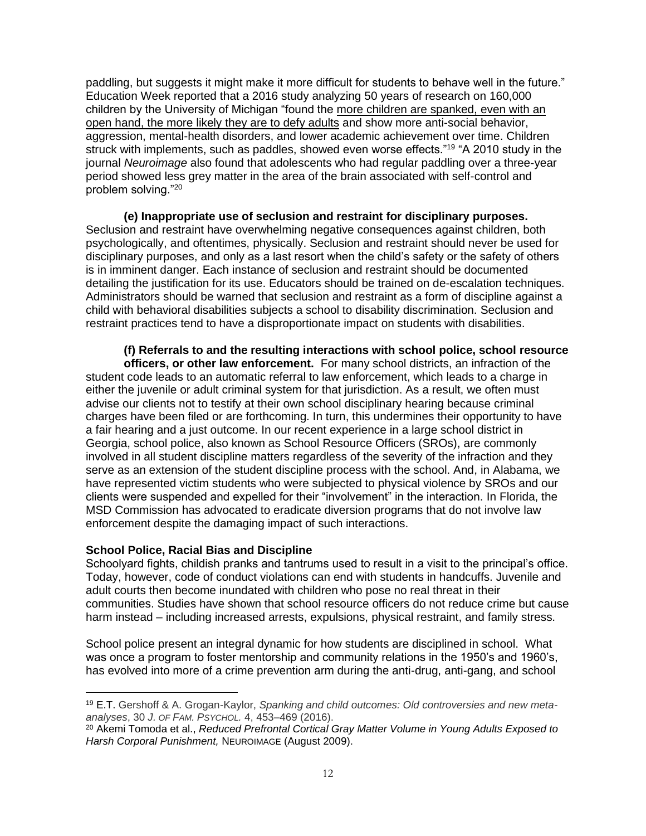paddling, but suggests it might make it more difficult for students to behave well in the future." Education Week reported that a 2016 study analyzing 50 years of research on 160,000 children by the University of Michigan "found the [more children are spanked, even with an](https://psycnet.apa.org/record/2016-17153-001)  [open hand, the more likely they are to defy adults](https://psycnet.apa.org/record/2016-17153-001) and show more anti-social behavior, aggression, mental-health disorders, and lower academic achievement over time. Children struck with implements, such as paddles, showed even worse effects."<sup>19</sup> "A 2010 study in the journal *Neuroimage* also found that adolescents who had regular paddling over a three-year period showed less grey matter in the area of the brain associated with self-control and problem solving."<sup>20</sup>

**(e) Inappropriate use of seclusion and restraint for disciplinary purposes.**  Seclusion and restraint have overwhelming negative consequences against children, both psychologically, and oftentimes, physically. Seclusion and restraint should never be used for disciplinary purposes, and only as a last resort when the child's safety or the safety of others is in imminent danger. Each instance of seclusion and restraint should be documented detailing the justification for its use. Educators should be trained on de-escalation techniques. Administrators should be warned that seclusion and restraint as a form of discipline against a child with behavioral disabilities subjects a school to disability discrimination. Seclusion and restraint practices tend to have a disproportionate impact on students with disabilities.

**(f) Referrals to and the resulting interactions with school police, school resource officers, or other law enforcement.** For many school districts, an infraction of the student code leads to an automatic referral to law enforcement, which leads to a charge in either the juvenile or adult criminal system for that jurisdiction. As a result, we often must advise our clients not to testify at their own school disciplinary hearing because criminal charges have been filed or are forthcoming. In turn, this undermines their opportunity to have a fair hearing and a just outcome. In our recent experience in a large school district in Georgia, school police, also known as School Resource Officers (SROs), are commonly involved in all student discipline matters regardless of the severity of the infraction and they serve as an extension of the student discipline process with the school. And, in Alabama, we have represented victim students who were subjected to physical violence by SROs and our clients were suspended and expelled for their "involvement" in the interaction. In Florida, the MSD Commission has advocated to eradicate diversion programs that do not involve law enforcement despite the damaging impact of such interactions.

#### **School Police, Racial Bias and Discipline**

Schoolyard fights, childish pranks and tantrums used to result in a visit to the principal's office. Today, however, code of conduct violations can end with students in handcuffs. Juvenile and adult courts then become inundated with children who pose no real threat in their communities. Studies have shown that school resource officers do not reduce crime but cause harm instead – including increased arrests, expulsions, physical restraint, and family stress.

School police present an integral dynamic for how students are disciplined in school. What was once a program to foster mentorship and community relations in the 1950's and 1960's, has evolved into more of a crime prevention arm during the anti-drug, anti-gang, and school

<sup>19</sup> E.T. Gershoff & A. Grogan-Kaylor, *Spanking and child outcomes: Old controversies and new metaanalyses*, 30 *J. OF FAM. PSYCHOL.* 4, 453–469 (2016).

<sup>20</sup> Akemi Tomoda et al., *Reduced Prefrontal Cortical Gray Matter Volume in Young Adults Exposed to Harsh Corporal Punishment,* NEUROIMAGE (August 2009).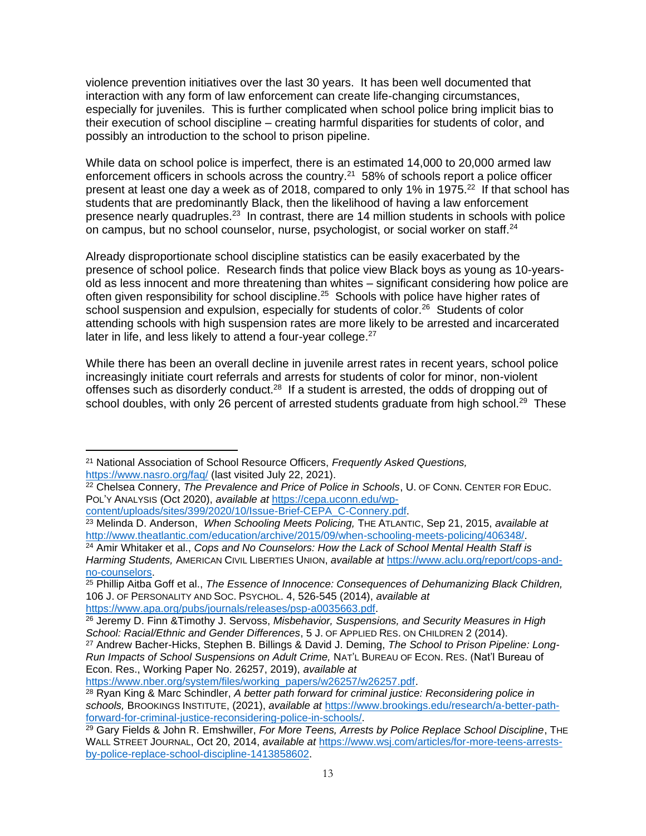violence prevention initiatives over the last 30 years. It has been well documented that interaction with any form of law enforcement can create life-changing circumstances, especially for juveniles. This is further complicated when school police bring implicit bias to their execution of school discipline – creating harmful disparities for students of color, and possibly an introduction to the school to prison pipeline.

While data on school police is imperfect, there is an estimated 14,000 to 20,000 armed law enforcement officers in schools across the country.<sup>21</sup> 58% of schools report a police officer present at least one day a week as of 2018, compared to only 1% in 1975. $^{22}$  If that school has students that are predominantly Black, then the likelihood of having a law enforcement presence nearly quadruples.<sup>23</sup> In contrast, there are 14 million students in schools with police on campus, but no school counselor, nurse, psychologist, or social worker on staff.<sup>24</sup>

Already disproportionate school discipline statistics can be easily exacerbated by the presence of school police. Research finds that police view Black boys as young as 10-yearsold as less innocent and more threatening than whites – significant considering how police are often given responsibility for school discipline.<sup>25</sup> Schools with police have higher rates of school suspension and expulsion, especially for students of color.<sup>26</sup> Students of color attending schools with high suspension rates are more likely to be arrested and incarcerated later in life, and less likely to attend a four-year college. $27$ 

While there has been an overall decline in juvenile arrest rates in recent years, school police increasingly initiate court referrals and arrests for students of color for minor, non-violent offenses such as disorderly conduct. $28$  If a student is arrested, the odds of dropping out of school doubles, with only 26 percent of arrested students graduate from high school.<sup>29</sup> These

[https://www.nber.org/system/files/working\\_papers/w26257/w26257.pdf.](https://www.nber.org/system/files/working_papers/w26257/w26257.pdf)

<sup>21</sup> National Association of School Resource Officers, *Frequently Asked Questions,*  <https://www.nasro.org/faq/> (last visited July 22, 2021).

<sup>22</sup> Chelsea Connery, *The Prevalence and Price of Police in Schools*, U. OF CONN. CENTER FOR EDUC. POL'Y ANALYSIS (Oct 2020), *available at* [https://cepa.uconn.edu/wp](https://cepa.uconn.edu/wp-content/uploads/sites/399/2020/10/Issue-Brief-CEPA_C-Connery.pdf)[content/uploads/sites/399/2020/10/Issue-Brief-CEPA\\_C-Connery.pdf.](https://cepa.uconn.edu/wp-content/uploads/sites/399/2020/10/Issue-Brief-CEPA_C-Connery.pdf)

<sup>23</sup> Melinda D. Anderson, *When Schooling Meets Policing,* THE ATLANTIC, Sep 21, 2015, *available at* [http://www.theatlantic.com/education/archive/2015/09/when-schooling-meets-policing/406348/.](http://www.theatlantic.com/education/archive/2015/09/when-schooling-meets-policing/406348/)

<sup>24</sup> Amir Whitaker et al., *Cops and No Counselors: How the Lack of School Mental Health Staff is Harming Students,* AMERICAN CIVIL LIBERTIES UNION, *available at* [https://www.aclu.org/report/cops-and](https://www.aclu.org/report/cops-and-no-counselors)[no-counselors.](https://www.aclu.org/report/cops-and-no-counselors)

<sup>25</sup> Phillip Aitba Goff et al., *The Essence of Innocence: Consequences of Dehumanizing Black Children,*  106 J. OF PERSONALITY AND SOC. PSYCHOL. 4, 526-545 (2014), *available at*  [https://www.apa.org/pubs/journals/releases/psp-a0035663.pdf.](https://www.apa.org/pubs/journals/releases/psp-a0035663.pdf)

<sup>26</sup> Jeremy D. Finn &Timothy J. Servoss, *Misbehavior, Suspensions, and Security Measures in High School: Racial/Ethnic and Gender Differences*, 5 J. OF APPLIED RES. ON CHILDREN 2 (2014).

<sup>27</sup> Andrew Bacher-Hicks, Stephen B. Billings & David J. Deming, *The School to Prison Pipeline: Long-Run Impacts of School Suspensions on Adult Crime,* NAT'L BUREAU OF ECON. RES. (Nat'l Bureau of Econ. Res., Working Paper No. 26257, 2019), *available at*

<sup>28</sup> Ryan King & Marc Schindler, *A better path forward for criminal justice: Reconsidering police in schools,* BROOKINGS INSTITUTE, (2021), *available at* [https://www.brookings.edu/research/a-better-path](https://www.brookings.edu/research/a-better-path-forward-for-criminal-justice-reconsidering-police-in-schools/)[forward-for-criminal-justice-reconsidering-police-in-schools/.](https://www.brookings.edu/research/a-better-path-forward-for-criminal-justice-reconsidering-police-in-schools/)

<sup>29</sup> Gary Fields & John R. Emshwiller, *For More Teens, Arrests by Police Replace School Discipline*, THE WALL STREET JOURNAL, Oct 20, 2014, *available at* [https://www.wsj.com/articles/for-more-teens-arrests](https://www.wsj.com/articles/for-more-teens-arrests-by-police-replace-school-discipline-1413858602)[by-police-replace-school-discipline-1413858602.](https://www.wsj.com/articles/for-more-teens-arrests-by-police-replace-school-discipline-1413858602)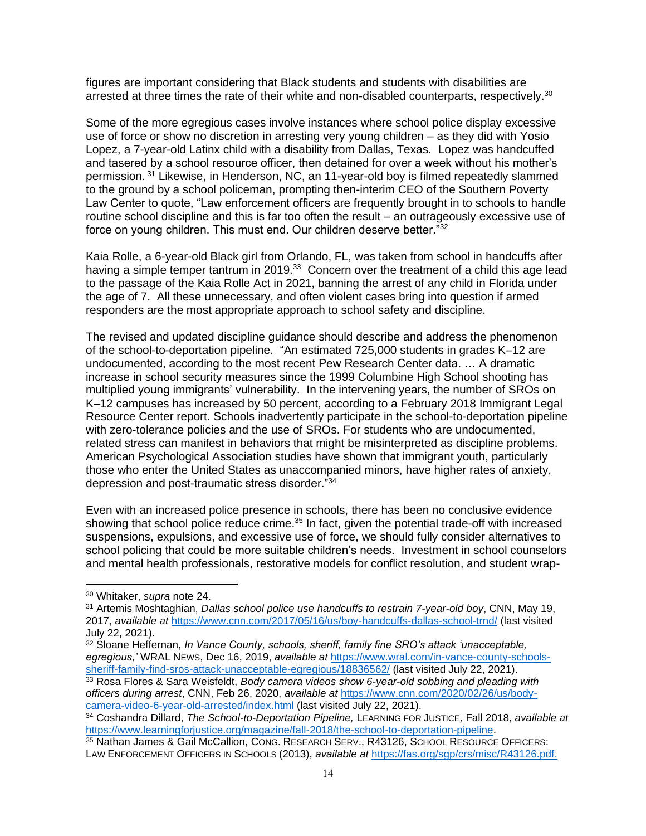figures are important considering that Black students and students with disabilities are arrested at three times the rate of their white and non-disabled counterparts, respectively.<sup>30</sup>

Some of the more egregious cases involve instances where school police display excessive use of force or show no discretion in arresting very young children – as they did with Yosio Lopez, a 7-year-old Latinx child with a disability from Dallas, Texas. Lopez was handcuffed and tasered by a school resource officer, then detained for over a week without his mother's permission. <sup>31</sup> Likewise, in Henderson, NC, an 11-year-old boy is filmed repeatedly slammed to the ground by a school policeman, prompting then-interim CEO of the Southern Poverty Law Center to quote, "Law enforcement officers are frequently brought in to schools to handle routine school discipline and this is far too often the result – an outrageously excessive use of force on young children. This must end. Our children deserve better."32

Kaia Rolle, a 6-year-old Black girl from Orlando, FL, was taken from school in handcuffs after having a simple temper tantrum in 2019.<sup>33</sup> Concern over the treatment of a child this age lead to the passage of the Kaia Rolle Act in 2021, banning the arrest of any child in Florida under the age of 7. All these unnecessary, and often violent cases bring into question if armed responders are the most appropriate approach to school safety and discipline.

The revised and updated discipline guidance should describe and address the phenomenon of the school-to-deportation pipeline. "An estimated 725,000 students in grades K–12 are undocumented, according to the most recent Pew Research Center data. … A dramatic increase in school security measures since the 1999 Columbine High School shooting has multiplied young immigrants' vulnerability. In the intervening years, the number of SROs on K–12 campuses has increased by 50 percent, according to a February 2018 Immigrant Legal Resource Center report. Schools inadvertently participate in the school-to-deportation pipeline with zero-tolerance policies and the use of SROs. For students who are undocumented, related stress can manifest in behaviors that might be misinterpreted as discipline problems. American Psychological Association studies have shown that immigrant youth, particularly those who enter the United States as unaccompanied minors, have higher rates of anxiety, depression and post-traumatic stress disorder."<sup>34</sup>

Even with an increased police presence in schools, there has been no conclusive evidence showing that school police reduce crime.<sup>35</sup> In fact, given the potential trade-off with increased suspensions, expulsions, and excessive use of force, we should fully consider alternatives to school policing that could be more suitable children's needs. Investment in school counselors and mental health professionals, restorative models for conflict resolution, and student wrap-

<sup>30</sup> Whitaker, *supra* note 24.

<sup>31</sup> Artemis Moshtaghian, *Dallas school police use handcuffs to restrain 7-year-old boy*, CNN, May 19, 2017, *available at* <https://www.cnn.com/2017/05/16/us/boy-handcuffs-dallas-school-trnd/> (last visited July 22, 2021).

<sup>32</sup> Sloane Heffernan, *In Vance County, schools, sheriff, family fine SRO's attack 'unacceptable, egregious,'* WRAL NEWS, Dec 16, 2019, *available at* [https://www.wral.com/in-vance-county-schools](https://www.wral.com/in-vance-county-schools-sheriff-family-find-sros-attack-unacceptable-egregious/18836562/)[sheriff-family-find-sros-attack-unacceptable-egregious/18836562/](https://www.wral.com/in-vance-county-schools-sheriff-family-find-sros-attack-unacceptable-egregious/18836562/) (last visited July 22, 2021).

<sup>33</sup> Rosa Flores & Sara Weisfeldt, *Body camera videos show 6-year-old sobbing and pleading with officers during arrest*, CNN, Feb 26, 2020, *available at* [https://www.cnn.com/2020/02/26/us/body](https://www.cnn.com/2020/02/26/us/body-camera-video-6-year-old-arrested/index.html)[camera-video-6-year-old-arrested/index.html](https://www.cnn.com/2020/02/26/us/body-camera-video-6-year-old-arrested/index.html) (last visited July 22, 2021).

<sup>34</sup> Coshandra Dillard, *The School-to-Deportation Pipeline,* LEARNING FOR JUSTICE*,* Fall 2018, *available at* [https://www.learningforjustice.org/magazine/fall-2018/the-school-to-deportation-pipeline.](https://www.learningforjustice.org/magazine/fall-2018/the-school-to-deportation-pipeline)

<sup>35</sup> Nathan James & Gail McCallion, CONG. RESEARCH SERV., R43126, SCHOOL RESOURCE OFFICERS: LAW ENFORCEMENT OFFICERS IN SCHOOLS (2013), *available at* [https://fas.org/sgp/crs/misc/R43126.pdf.](https://fas.org/sgp/crs/misc/R43126.pdf)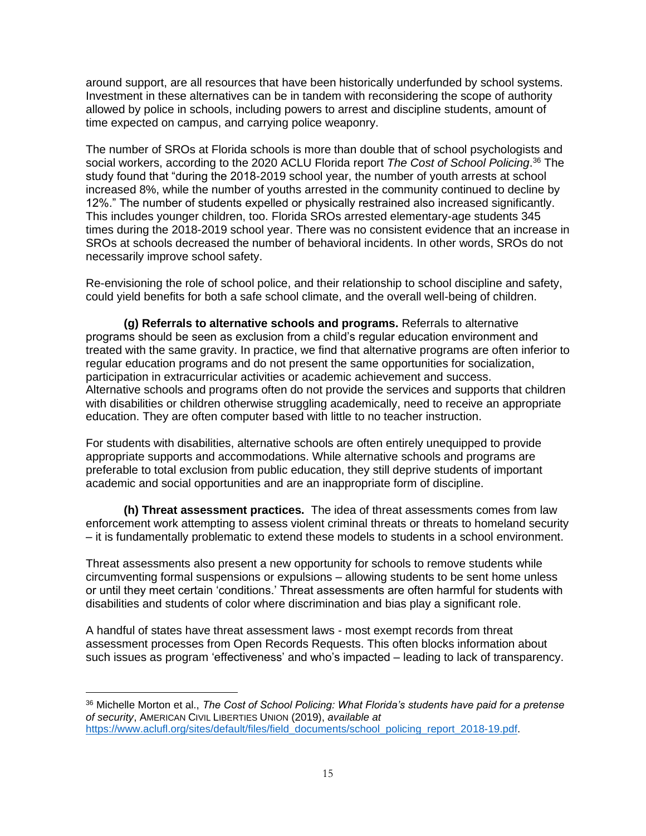around support, are all resources that have been historically underfunded by school systems. Investment in these alternatives can be in tandem with reconsidering the scope of authority allowed by police in schools, including powers to arrest and discipline students, amount of time expected on campus, and carrying police weaponry.

The number of SROs at Florida schools is more than double that of school psychologists and social workers, according to the 2020 ACLU Florida report *The Cost of School Policing*. <sup>36</sup> The study found that "during the 2018-2019 school year, the number of youth arrests at school increased 8%, while the number of youths arrested in the community continued to decline by 12%." The number of students expelled or physically restrained also increased significantly. This includes younger children, too. Florida SROs arrested elementary-age students 345 times during the 2018-2019 school year. There was no consistent evidence that an increase in SROs at schools decreased the number of behavioral incidents. In other words, SROs do not necessarily improve school safety.

Re-envisioning the role of school police, and their relationship to school discipline and safety, could yield benefits for both a safe school climate, and the overall well-being of children.

**(g) Referrals to alternative schools and programs.** Referrals to alternative programs should be seen as exclusion from a child's regular education environment and treated with the same gravity. In practice, we find that alternative programs are often inferior to regular education programs and do not present the same opportunities for socialization, participation in extracurricular activities or academic achievement and success. Alternative schools and programs often do not provide the services and supports that children with disabilities or children otherwise struggling academically, need to receive an appropriate education. They are often computer based with little to no teacher instruction.

For students with disabilities, alternative schools are often entirely unequipped to provide appropriate supports and accommodations. While alternative schools and programs are preferable to total exclusion from public education, they still deprive students of important academic and social opportunities and are an inappropriate form of discipline.

**(h) Threat assessment practices.** The idea of threat assessments comes from law enforcement work attempting to assess violent criminal threats or threats to homeland security – it is fundamentally problematic to extend these models to students in a school environment.

Threat assessments also present a new opportunity for schools to remove students while circumventing formal suspensions or expulsions – allowing students to be sent home unless or until they meet certain 'conditions.' Threat assessments are often harmful for students with disabilities and students of color where discrimination and bias play a significant role.

A handful of states have threat assessment laws - most exempt records from threat assessment processes from Open Records Requests. This often blocks information about such issues as program 'effectiveness' and who's impacted – leading to lack of transparency.

<sup>36</sup> Michelle Morton et al., *The Cost of School Policing: What Florida's students have paid for a pretense of security*, AMERICAN CIVIL LIBERTIES UNION (2019), *available at*  [https://www.aclufl.org/sites/default/files/field\\_documents/school\\_policing\\_report\\_2018-19.pdf.](https://www.aclufl.org/sites/default/files/field_documents/school_policing_report_2018-19.pdf)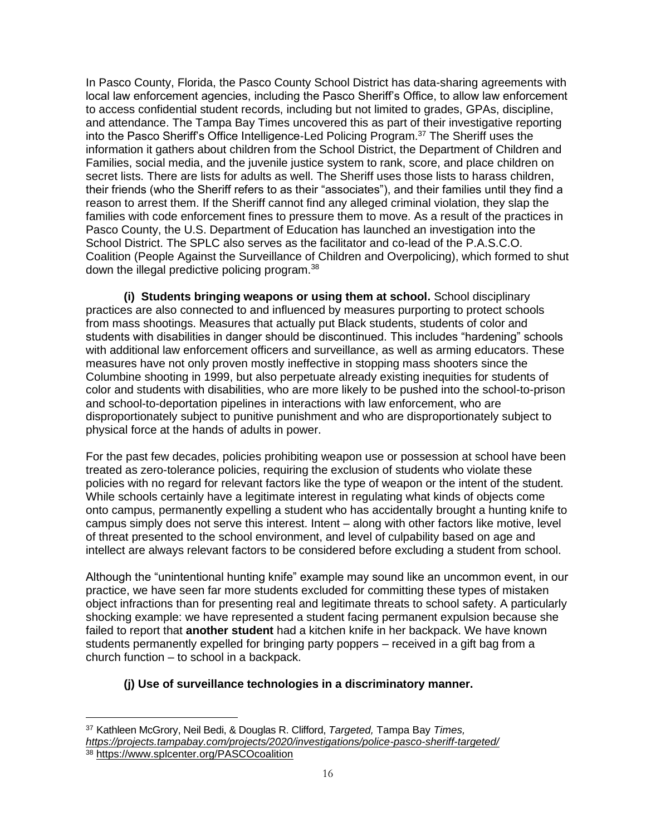In Pasco County, Florida, the Pasco County School District has data-sharing agreements with local law enforcement agencies, including the Pasco Sheriff's Office, to allow law enforcement to access confidential student records, including but not limited to grades, GPAs, discipline, and attendance. The Tampa Bay Times uncovered this as part of their investigative reporting into the Pasco Sheriff's Office Intelligence-Led Policing Program.<sup>37</sup> The Sheriff uses the information it gathers about children from the School District, the Department of Children and Families, social media, and the juvenile justice system to rank, score, and place children on secret lists. There are lists for adults as well. The Sheriff uses those lists to harass children, their friends (who the Sheriff refers to as their "associates"), and their families until they find a reason to arrest them. If the Sheriff cannot find any alleged criminal violation, they slap the families with code enforcement fines to pressure them to move. As a result of the practices in Pasco County, the U.S. Department of Education has launched an investigation into the School District. The SPLC also serves as the facilitator and co-lead of the P.A.S.C.O. Coalition (People Against the Surveillance of Children and Overpolicing), which formed to shut down the illegal predictive policing program.<sup>38</sup>

**(i) Students bringing weapons or using them at school.** School disciplinary practices are also connected to and influenced by measures purporting to protect schools from mass shootings. Measures that actually put Black students, students of color and students with disabilities in danger should be discontinued. This includes "hardening" schools with additional law enforcement officers and surveillance, as well as arming educators. These measures have not only proven mostly ineffective in stopping mass shooters since the Columbine shooting in 1999, but also perpetuate already existing inequities for students of color and students with disabilities, who are more likely to be pushed into the school-to-prison and school-to-deportation pipelines in interactions with law enforcement, who are disproportionately subject to punitive punishment and who are disproportionately subject to physical force at the hands of adults in power.

For the past few decades, policies prohibiting weapon use or possession at school have been treated as zero-tolerance policies, requiring the exclusion of students who violate these policies with no regard for relevant factors like the type of weapon or the intent of the student. While schools certainly have a legitimate interest in regulating what kinds of objects come onto campus, permanently expelling a student who has accidentally brought a hunting knife to campus simply does not serve this interest. Intent – along with other factors like motive, level of threat presented to the school environment, and level of culpability based on age and intellect are always relevant factors to be considered before excluding a student from school.

Although the "unintentional hunting knife" example may sound like an uncommon event, in our practice, we have seen far more students excluded for committing these types of mistaken object infractions than for presenting real and legitimate threats to school safety. A particularly shocking example: we have represented a student facing permanent expulsion because she failed to report that **another student** had a kitchen knife in her backpack. We have known students permanently expelled for bringing party poppers – received in a gift bag from a church function – to school in a backpack.

# **(j) Use of surveillance technologies in a discriminatory manner.**

<sup>37</sup> Kathleen McGrory, Neil Bedi, & Douglas R. Clifford, *Targeted,* Tampa Bay *Times, <https://projects.tampabay.com/projects/2020/investigations/police-pasco-sheriff-targeted/>*

<sup>38</sup> <https://www.splcenter.org/PASCOcoalition>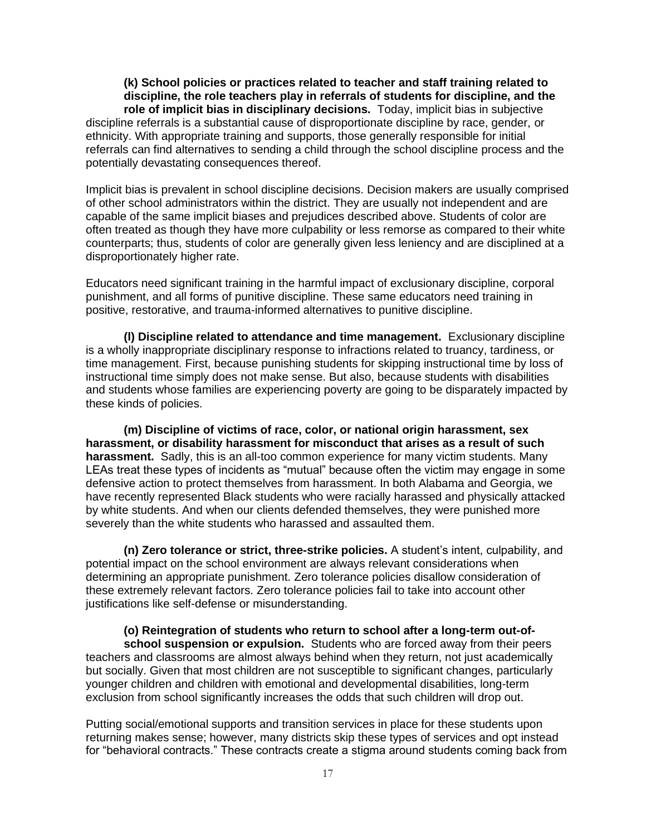**(k) School policies or practices related to teacher and staff training related to discipline, the role teachers play in referrals of students for discipline, and the role of implicit bias in disciplinary decisions.** Today, implicit bias in subjective discipline referrals is a substantial cause of disproportionate discipline by race, gender, or ethnicity. With appropriate training and supports, those generally responsible for initial referrals can find alternatives to sending a child through the school discipline process and the potentially devastating consequences thereof.

Implicit bias is prevalent in school discipline decisions. Decision makers are usually comprised of other school administrators within the district. They are usually not independent and are capable of the same implicit biases and prejudices described above. Students of color are often treated as though they have more culpability or less remorse as compared to their white counterparts; thus, students of color are generally given less leniency and are disciplined at a disproportionately higher rate.

Educators need significant training in the harmful impact of exclusionary discipline, corporal punishment, and all forms of punitive discipline. These same educators need training in positive, restorative, and trauma-informed alternatives to punitive discipline.

**(l) Discipline related to attendance and time management.** Exclusionary discipline is a wholly inappropriate disciplinary response to infractions related to truancy, tardiness, or time management. First, because punishing students for skipping instructional time by loss of instructional time simply does not make sense. But also, because students with disabilities and students whose families are experiencing poverty are going to be disparately impacted by these kinds of policies.

**(m) Discipline of victims of race, color, or national origin harassment, sex harassment, or disability harassment for misconduct that arises as a result of such harassment.** Sadly, this is an all-too common experience for many victim students. Many LEAs treat these types of incidents as "mutual" because often the victim may engage in some defensive action to protect themselves from harassment. In both Alabama and Georgia, we have recently represented Black students who were racially harassed and physically attacked by white students. And when our clients defended themselves, they were punished more severely than the white students who harassed and assaulted them.

**(n) Zero tolerance or strict, three-strike policies.** A student's intent, culpability, and potential impact on the school environment are always relevant considerations when determining an appropriate punishment. Zero tolerance policies disallow consideration of these extremely relevant factors. Zero tolerance policies fail to take into account other justifications like self-defense or misunderstanding.

**(o) Reintegration of students who return to school after a long-term out-ofschool suspension or expulsion.** Students who are forced away from their peers teachers and classrooms are almost always behind when they return, not just academically but socially. Given that most children are not susceptible to significant changes, particularly younger children and children with emotional and developmental disabilities, long-term exclusion from school significantly increases the odds that such children will drop out.

Putting social/emotional supports and transition services in place for these students upon returning makes sense; however, many districts skip these types of services and opt instead for "behavioral contracts." These contracts create a stigma around students coming back from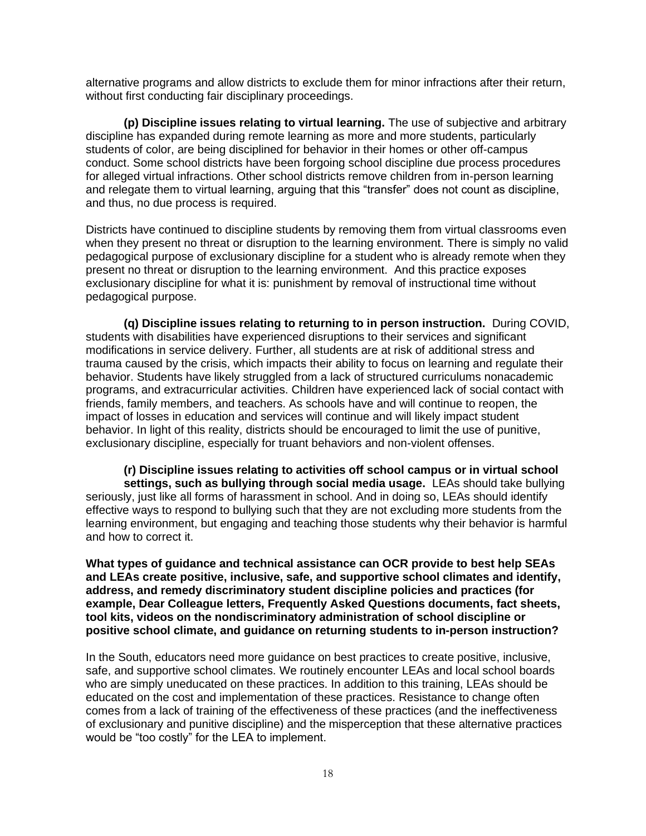alternative programs and allow districts to exclude them for minor infractions after their return, without first conducting fair disciplinary proceedings.

**(p) Discipline issues relating to virtual learning.** The use of subjective and arbitrary discipline has expanded during remote learning as more and more students, particularly students of color, are being disciplined for behavior in their homes or other off-campus conduct. Some school districts have been forgoing school discipline due process procedures for alleged virtual infractions. Other school districts remove children from in-person learning and relegate them to virtual learning, arguing that this "transfer" does not count as discipline, and thus, no due process is required.

Districts have continued to discipline students by removing them from virtual classrooms even when they present no threat or disruption to the learning environment. There is simply no valid pedagogical purpose of exclusionary discipline for a student who is already remote when they present no threat or disruption to the learning environment. And this practice exposes exclusionary discipline for what it is: punishment by removal of instructional time without pedagogical purpose.

**(q) Discipline issues relating to returning to in person instruction.** During COVID, students with disabilities have experienced disruptions to their services and significant modifications in service delivery. Further, all students are at risk of additional stress and trauma caused by the crisis, which impacts their ability to focus on learning and regulate their behavior. Students have likely struggled from a lack of structured curriculums nonacademic programs, and extracurricular activities. Children have experienced lack of social contact with friends, family members, and teachers. As schools have and will continue to reopen, the impact of losses in education and services will continue and will likely impact student behavior. In light of this reality, districts should be encouraged to limit the use of punitive, exclusionary discipline, especially for truant behaviors and non-violent offenses.

**(r) Discipline issues relating to activities off school campus or in virtual school settings, such as bullying through social media usage.** LEAs should take bullying seriously, just like all forms of harassment in school. And in doing so, LEAs should identify effective ways to respond to bullying such that they are not excluding more students from the learning environment, but engaging and teaching those students why their behavior is harmful and how to correct it.

**What types of guidance and technical assistance can OCR provide to best help SEAs and LEAs create positive, inclusive, safe, and supportive school climates and identify, address, and remedy discriminatory student discipline policies and practices (for example, Dear Colleague letters, Frequently Asked Questions documents, fact sheets, tool kits, videos on the nondiscriminatory administration of school discipline or positive school climate, and guidance on returning students to in-person instruction?**

In the South, educators need more guidance on best practices to create positive, inclusive, safe, and supportive school climates. We routinely encounter LEAs and local school boards who are simply uneducated on these practices. In addition to this training, LEAs should be educated on the cost and implementation of these practices. Resistance to change often comes from a lack of training of the effectiveness of these practices (and the ineffectiveness of exclusionary and punitive discipline) and the misperception that these alternative practices would be "too costly" for the LEA to implement.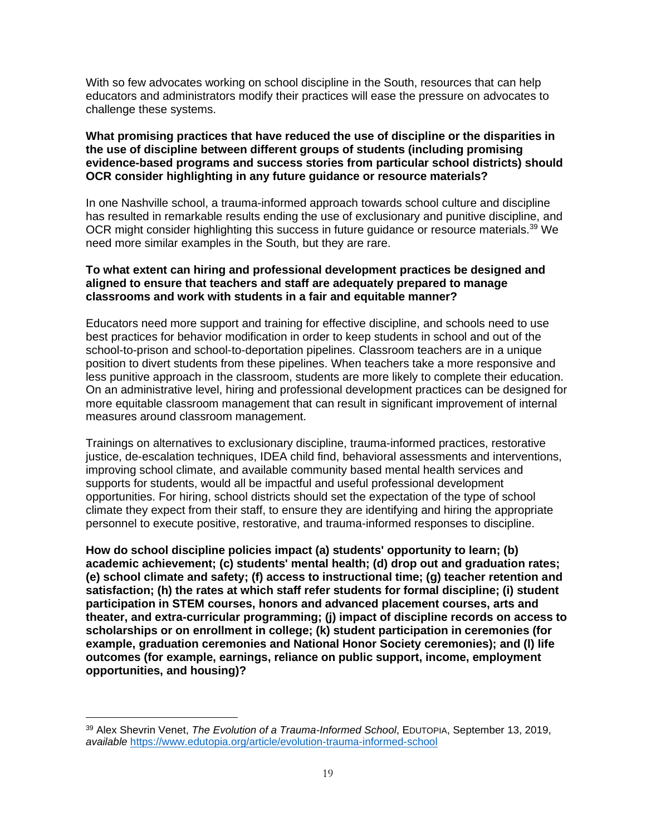With so few advocates working on school discipline in the South, resources that can help educators and administrators modify their practices will ease the pressure on advocates to challenge these systems.

# **What promising practices that have reduced the use of discipline or the disparities in the use of discipline between different groups of students (including promising evidence-based programs and success stories from particular school districts) should OCR consider highlighting in any future guidance or resource materials?**

In one Nashville school, a trauma-informed approach towards school culture and discipline has resulted in remarkable results ending the use of exclusionary and punitive discipline, and OCR might consider highlighting this success in future guidance or resource materials.<sup>39</sup> We need more similar examples in the South, but they are rare.

# **To what extent can hiring and professional development practices be designed and aligned to ensure that teachers and staff are adequately prepared to manage classrooms and work with students in a fair and equitable manner?**

Educators need more support and training for effective discipline, and schools need to use best practices for behavior modification in order to keep students in school and out of the school-to-prison and school-to-deportation pipelines. Classroom teachers are in a unique position to divert students from these pipelines. When teachers take a more responsive and less punitive approach in the classroom, students are more likely to complete their education. On an administrative level, hiring and professional development practices can be designed for more equitable classroom management that can result in significant improvement of internal measures around classroom management.

Trainings on alternatives to exclusionary discipline, trauma-informed practices, restorative justice, de-escalation techniques, IDEA child find, behavioral assessments and interventions, improving school climate, and available community based mental health services and supports for students, would all be impactful and useful professional development opportunities. For hiring, school districts should set the expectation of the type of school climate they expect from their staff, to ensure they are identifying and hiring the appropriate personnel to execute positive, restorative, and trauma-informed responses to discipline.

**How do school discipline policies impact (a) students' opportunity to learn; (b) academic achievement; (c) students' mental health; (d) drop out and graduation rates; (e) school climate and safety; (f) access to instructional time; (g) teacher retention and satisfaction; (h) the rates at which staff refer students for formal discipline; (i) student participation in STEM courses, honors and advanced placement courses, arts and theater, and extra-curricular programming; (j) impact of discipline records on access to scholarships or on enrollment in college; (k) student participation in ceremonies (for example, graduation ceremonies and National Honor Society ceremonies); and (l) life outcomes (for example, earnings, reliance on public support, income, employment opportunities, and housing)?**

<sup>39</sup> Alex Shevrin Venet, *The Evolution of a Trauma-Informed School*, EDUTOPIA, September 13, 2019, *available* <https://www.edutopia.org/article/evolution-trauma-informed-school>